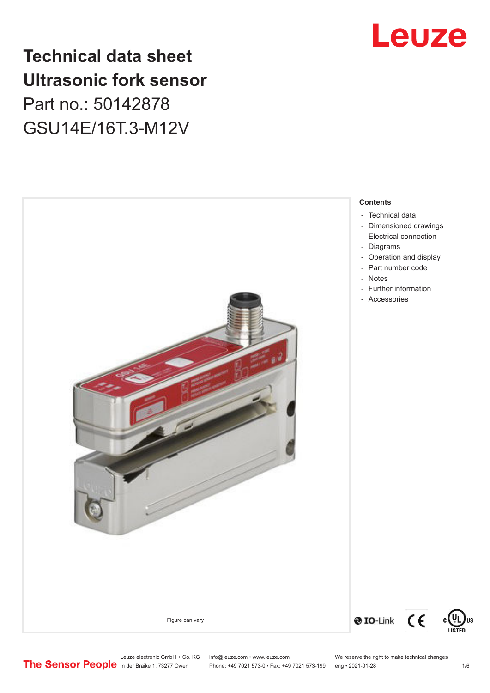## Leuze

## **Technical data sheet Ultrasonic fork sensor**

Part no.: 50142878 GSU14E/16T.3-M12V



### **Contents**

- [Technical data](#page-1-0)
- [Dimensioned drawings](#page-2-0)
- [Electrical connection](#page-2-0)
- [Diagrams](#page-3-0)
- [Operation and display](#page-3-0)
- [Part number code](#page-3-0)
- 
- [Further information](#page-4-0)
- Accessories

Leuze electronic GmbH + Co. KG info@leuze.com • www.leuze.com We reserve the right to make technical changes<br>
The Sensor People in der Braike 1, 73277 Owen Phone: +49 7021 573-0 • Fax: +49 7021 573-199 eng • 2021-01-28

 $C \in$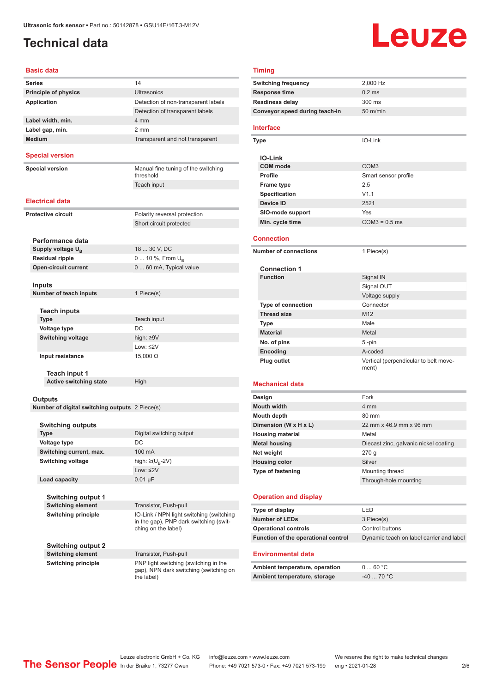### <span id="page-1-0"></span>**Technical data**

# Leuze

#### **Basic data**

| Series                                         | 14                                                                                            |  |  |
|------------------------------------------------|-----------------------------------------------------------------------------------------------|--|--|
| <b>Principle of physics</b>                    | <b>Ultrasonics</b>                                                                            |  |  |
| Application                                    | Detection of non-transparent labels                                                           |  |  |
|                                                | Detection of transparent labels                                                               |  |  |
| Label width, min.                              | 4 mm                                                                                          |  |  |
| Label gap, min.                                | $2 \, \text{mm}$                                                                              |  |  |
| <b>Medium</b>                                  | Transparent and not transparent                                                               |  |  |
|                                                |                                                                                               |  |  |
| <b>Special version</b>                         |                                                                                               |  |  |
| Special version                                | Manual fine tuning of the switching<br>threshold                                              |  |  |
|                                                | Teach input                                                                                   |  |  |
| Electrical data                                |                                                                                               |  |  |
|                                                |                                                                                               |  |  |
| Protective circuit                             | Polarity reversal protection                                                                  |  |  |
|                                                | Short circuit protected                                                                       |  |  |
| Performance data                               |                                                                                               |  |  |
| Supply voltage $U_{B}$                         | 18  30 V, DC                                                                                  |  |  |
| <b>Residual ripple</b>                         | 0  10 %, From $U_{\rm B}$                                                                     |  |  |
| <b>Open-circuit current</b>                    | 0  60 mA, Typical value                                                                       |  |  |
|                                                |                                                                                               |  |  |
| Inputs                                         |                                                                                               |  |  |
| Number of teach inputs                         | 1 Piece(s)                                                                                    |  |  |
|                                                |                                                                                               |  |  |
| <b>Teach inputs</b>                            |                                                                                               |  |  |
| Type                                           | Teach input                                                                                   |  |  |
| <b>Voltage type</b>                            | DC                                                                                            |  |  |
| <b>Switching voltage</b>                       | high: $\geq 9V$                                                                               |  |  |
|                                                | Low: ≤2V                                                                                      |  |  |
| Input resistance                               | $15,000 \Omega$                                                                               |  |  |
| <b>Teach input 1</b>                           |                                                                                               |  |  |
| <b>Active switching state</b>                  | High                                                                                          |  |  |
|                                                |                                                                                               |  |  |
| Outputs                                        |                                                                                               |  |  |
| Number of digital switching outputs 2 Piece(s) |                                                                                               |  |  |
|                                                |                                                                                               |  |  |
| <b>Switching outputs</b>                       |                                                                                               |  |  |
| Type                                           | Digital switching output                                                                      |  |  |
| Voltage type                                   | DC                                                                                            |  |  |
| Switching current, max.                        | 100 mA                                                                                        |  |  |
| <b>Switching voltage</b>                       | high: $\geq (U_{\text{B}} - 2V)$                                                              |  |  |
|                                                | Low: $\leq$ 2V                                                                                |  |  |
| Load capacity                                  | $0.01 \mu F$                                                                                  |  |  |
|                                                |                                                                                               |  |  |
| Switching output 1<br><b>Switching element</b> | Transistor, Push-pull                                                                         |  |  |
| <b>Switching principle</b>                     | IO-Link / NPN light switching (switching                                                      |  |  |
|                                                | in the gap), PNP dark switching (swit-<br>ching on the label)                                 |  |  |
| Switching output 2                             |                                                                                               |  |  |
| <b>Switching element</b>                       | Transistor, Push-pull                                                                         |  |  |
| <b>Switching principle</b>                     | PNP light switching (switching in the<br>gap), NPN dark switching (switching on<br>the label) |  |  |

| <b>Timing</b>                       |                                          |  |  |  |
|-------------------------------------|------------------------------------------|--|--|--|
| <b>Switching frequency</b>          | 2,000 Hz                                 |  |  |  |
| Response time                       | $0.2$ ms                                 |  |  |  |
| <b>Readiness delay</b>              | 300 ms                                   |  |  |  |
| Conveyor speed during teach-in      | $50$ m/min                               |  |  |  |
| <b>Interface</b>                    |                                          |  |  |  |
|                                     |                                          |  |  |  |
| <b>Type</b>                         | IO-Link                                  |  |  |  |
| <b>IO-Link</b>                      |                                          |  |  |  |
| <b>COM</b> mode                     | COM <sub>3</sub>                         |  |  |  |
| <b>Profile</b>                      | Smart sensor profile                     |  |  |  |
| <b>Frame type</b>                   | 2.5                                      |  |  |  |
| <b>Specification</b>                | V1.1                                     |  |  |  |
| <b>Device ID</b>                    | 2521                                     |  |  |  |
| SIO-mode support                    | Yes                                      |  |  |  |
| Min. cycle time                     | $COM3 = 0.5$ ms                          |  |  |  |
|                                     |                                          |  |  |  |
| <b>Connection</b>                   |                                          |  |  |  |
| <b>Number of connections</b>        | 1 Piece(s)                               |  |  |  |
|                                     |                                          |  |  |  |
| <b>Connection 1</b>                 |                                          |  |  |  |
| <b>Function</b>                     | Signal IN                                |  |  |  |
|                                     | Signal OUT                               |  |  |  |
|                                     | Voltage supply<br>Connector              |  |  |  |
| <b>Type of connection</b>           | M <sub>12</sub>                          |  |  |  |
| <b>Thread size</b>                  | Male                                     |  |  |  |
| Type<br><b>Material</b>             | Metal                                    |  |  |  |
| No. of pins                         | 5-pin                                    |  |  |  |
| Encoding                            | A-coded                                  |  |  |  |
| <b>Plug outlet</b>                  | Vertical (perpendicular to belt move-    |  |  |  |
|                                     | ment)                                    |  |  |  |
|                                     |                                          |  |  |  |
| Mechanical data                     |                                          |  |  |  |
| Design                              | Fork                                     |  |  |  |
| <b>Mouth width</b>                  | 4 mm                                     |  |  |  |
| <b>Mouth depth</b>                  | 80 mm                                    |  |  |  |
| Dimension (W x H x L)               | 22 mm x 46.9 mm x 96 mm                  |  |  |  |
| <b>Housing material</b>             | Metal                                    |  |  |  |
| <b>Metal housing</b>                | Diecast zinc, galvanic nickel coating    |  |  |  |
| Net weight                          | 270q                                     |  |  |  |
| <b>Housing color</b>                | Silver                                   |  |  |  |
| Type of fastening                   | Mounting thread                          |  |  |  |
|                                     | Through-hole mounting                    |  |  |  |
| <b>Operation and display</b>        |                                          |  |  |  |
| Type of display                     | LED                                      |  |  |  |
| <b>Number of LEDs</b>               | 3 Piece(s)                               |  |  |  |
| <b>Operational controls</b>         | Control buttons                          |  |  |  |
| Function of the operational control | Dynamic teach on label carrier and label |  |  |  |
|                                     |                                          |  |  |  |
| <b>Environmental data</b>           |                                          |  |  |  |
| Ambient temperature, operation      | 060 °C                                   |  |  |  |
| Ambient temperature, storage        | $-40$ 70 °C                              |  |  |  |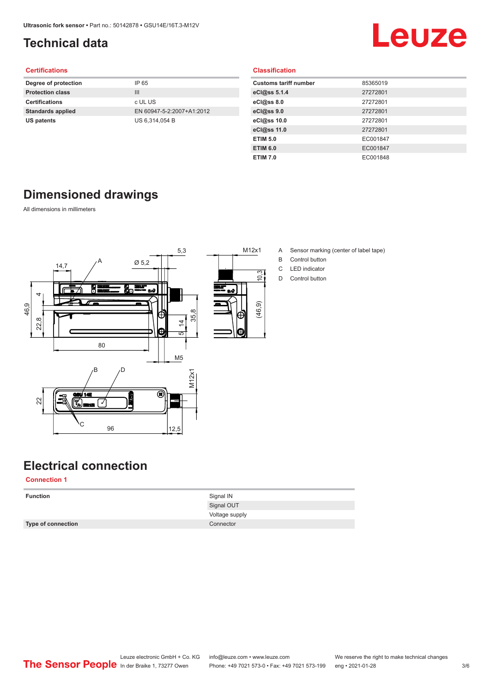### <span id="page-2-0"></span>**Technical data**

## Leuze

#### **Certifications**

| Degree of protection     | IP 65                     |
|--------------------------|---------------------------|
| <b>Protection class</b>  | Ш                         |
| <b>Certifications</b>    | c UL US                   |
| <b>Standards applied</b> | EN 60947-5-2:2007+A1:2012 |
| US patents               | US 6,314,054 B            |
|                          |                           |

#### **Classification**

| <b>Customs tariff number</b> | 85365019 |
|------------------------------|----------|
| eCl@ss 5.1.4                 | 27272801 |
| eCl@ss 8.0                   | 27272801 |
| eCl@ss 9.0                   | 27272801 |
| eCl@ss 10.0                  | 27272801 |
| eCl@ss 11.0                  | 27272801 |
| <b>ETIM 5.0</b>              | EC001847 |
| <b>ETIM 6.0</b>              | EC001847 |
| <b>ETIM 7.0</b>              | EC001848 |

### **Dimensioned drawings**

All dimensions in millimeters



- M12x1 A Sensor marking (center of label tape)
	- B Control button
	- C LED indicator
	- D Control button

## **Electrical connection**

**Connection 1**

| <b>Function</b>    | Signal IN      |
|--------------------|----------------|
|                    | Signal OUT     |
|                    | Voltage supply |
| Type of connection | Connector      |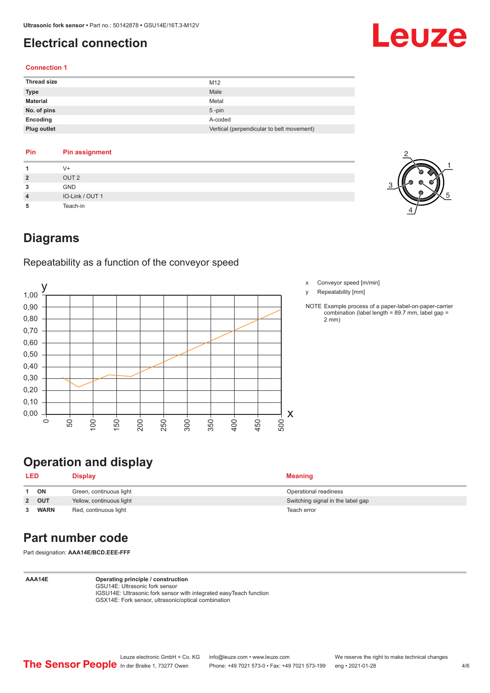### <span id="page-3-0"></span>**Electrical connection**

# Leuze

#### **Connection 1**

| <b>Thread size</b> | M12                                       |
|--------------------|-------------------------------------------|
| <b>Type</b>        | Male                                      |
| <b>Material</b>    | Metal                                     |
| No. of pins        | $5$ -pin                                  |
| Encoding           | A-coded                                   |
| Plug outlet        | Vertical (perpendicular to belt movement) |

### **Pin Pin assignment**

|                | V+               |
|----------------|------------------|
| $\overline{2}$ | OUT <sub>2</sub> |
| 3              | <b>GND</b>       |
| $\overline{4}$ | IO-Link / OUT 1  |
| 5              | Teach-in         |



### **Diagrams**

Repeatability as a function of the conveyor speed



- x Conveyor speed [m/min]
- y Repeatability [mm]
- NOTE Example process of a paper-label-on-paper-carrier combination (label length = 89.7 mm, label gap = 2 mm)

### **Operation and display**

| <b>LED</b> |             | <b>Display</b>           | <b>Meaning</b>                    |
|------------|-------------|--------------------------|-----------------------------------|
|            | ON          | Green, continuous light  | Operational readiness             |
|            | 2 OUT       | Yellow, continuous light | Switching signal in the label gap |
|            | <b>WARN</b> | Red, continuous light    | Teach error                       |

### **Part number code**

Part designation: **AAA14E/BCD.EEE-FFF**

**AAA14E Operating principle / construction** GSU14E: Ultrasonic fork sensor

IGSU14E: Ultrasonic fork sensor with integrated easyTeach function GSX14E: Fork sensor, ultrasonic/optical combination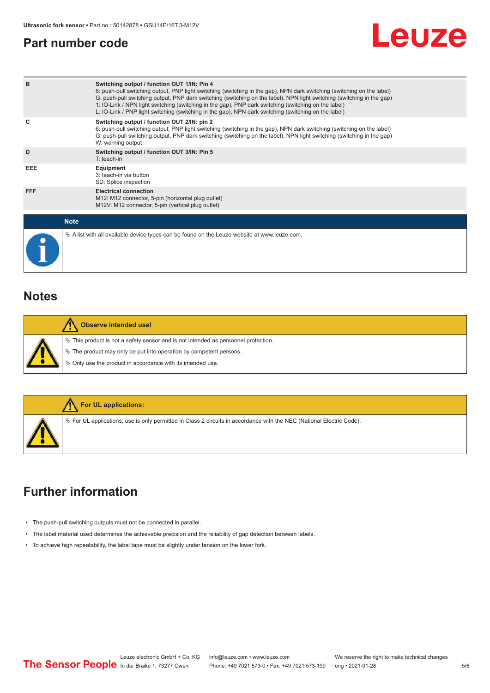### <span id="page-4-0"></span>**Part number code**



| B           | Switching output / function OUT 1/IN: Pin 4<br>6: push-pull switching output, PNP light switching (switching in the gap), NPN dark switching (switching on the label)<br>G: push-pull switching output, PNP dark switching (switching on the label), NPN light switching (switching in the gap)<br>1: IO-Link / NPN light switching (switching in the gap), PNP dark switching (switching on the label)<br>L: IO-Link / PNP light switching (switching in the gap), NPN dark switching (switching on the label) |
|-------------|-----------------------------------------------------------------------------------------------------------------------------------------------------------------------------------------------------------------------------------------------------------------------------------------------------------------------------------------------------------------------------------------------------------------------------------------------------------------------------------------------------------------|
| C           | Switching output / function OUT 2/IN: pin 2<br>6: push-pull switching output, PNP light switching (switching in the gap), NPN dark switching (switching on the label)<br>G: push-pull switching output, PNP dark switching (switching on the label), NPN light switching (switching in the gap)<br>W: warning output                                                                                                                                                                                            |
| D           | Switching output / function OUT 3/IN: Pin 5<br>$T:$ teach-in                                                                                                                                                                                                                                                                                                                                                                                                                                                    |
| EEE         | Equipment<br>3: teach-in via button<br>SD: Splice inspection                                                                                                                                                                                                                                                                                                                                                                                                                                                    |
| <b>FFF</b>  | <b>Electrical connection</b><br>M12: M12 connector, 5-pin (horizontal plug outlet)<br>M12V: M12 connector, 5-pin (vertical plug outlet)                                                                                                                                                                                                                                                                                                                                                                         |
| <b>Note</b> |                                                                                                                                                                                                                                                                                                                                                                                                                                                                                                                 |
|             | $\&$ A list with all available device types can be found on the Leuze website at www.leuze.com.                                                                                                                                                                                                                                                                                                                                                                                                                 |

### **Notes**

| Observe intended use!                                                                                                                                                                                                      |
|----------------------------------------------------------------------------------------------------------------------------------------------------------------------------------------------------------------------------|
| $\%$ This product is not a safety sensor and is not intended as personnel protection.<br>₹ The product may only be put into operation by competent persons.<br>♦ Only use the product in accordance with its intended use. |



### **Further information**

- The push-pull switching outputs must not be connected in parallel.
- The label material used determines the achievable precision and the reliability of gap detection between labels.
- To achieve high repeatability, the label tape must be slightly under tension on the lower fork.